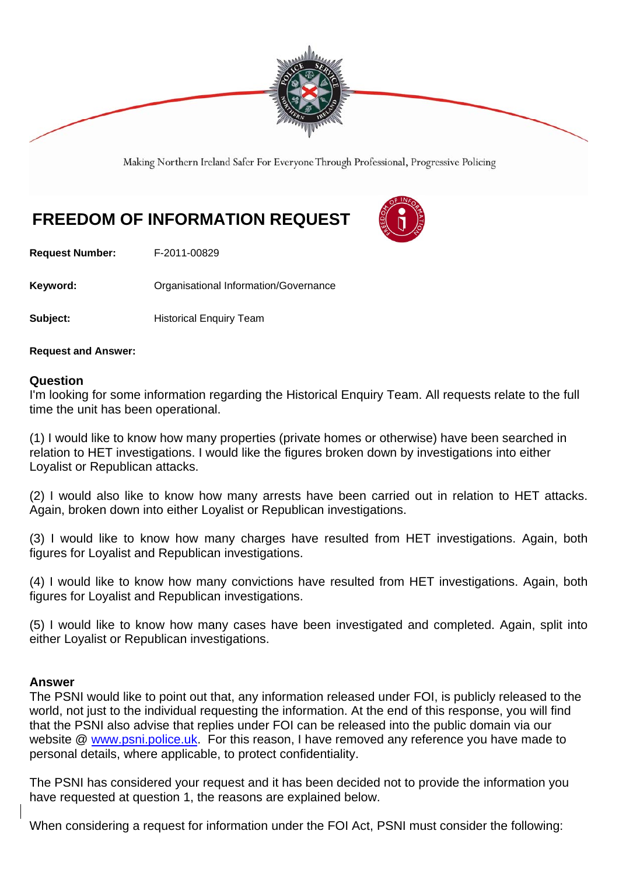

Making Northern Ireland Safer For Everyone Through Professional, Progressive Policing

## **FREEDOM OF INFORMATION REQUEST**



**Request Number:** F-2011-00829

**Keyword: C**rganisational Information/Governance

**Subject: Historical Enquiry Team** 

**Request and Answer:** 

## **Question**

I'm looking for some information regarding the Historical Enquiry Team. All requests relate to the full time the unit has been operational.

(1) I would like to know how many properties (private homes or otherwise) have been searched in relation to HET investigations. I would like the figures broken down by investigations into either Loyalist or Republican attacks.

(2) I would also like to know how many arrests have been carried out in relation to HET attacks. Again, broken down into either Loyalist or Republican investigations.

(3) I would like to know how many charges have resulted from HET investigations. Again, both figures for Loyalist and Republican investigations.

(4) I would like to know how many convictions have resulted from HET investigations. Again, both figures for Loyalist and Republican investigations.

(5) I would like to know how many cases have been investigated and completed. Again, split into either Loyalist or Republican investigations.

## **Answer**

The PSNI would like to point out that, any information released under FOI, is publicly released to the world, not just to the individual requesting the information. At the end of this response, you will find that the PSNI also advise that replies under FOI can be released into the public domain via our website @ www.psni.police.uk. For this reason, I have removed any reference you have made to personal details, where applicable, to protect confidentiality.

The PSNI has considered your request and it has been decided not to provide the information you have requested at question 1, the reasons are explained below.

When considering a request for information under the FOI Act, PSNI must consider the following: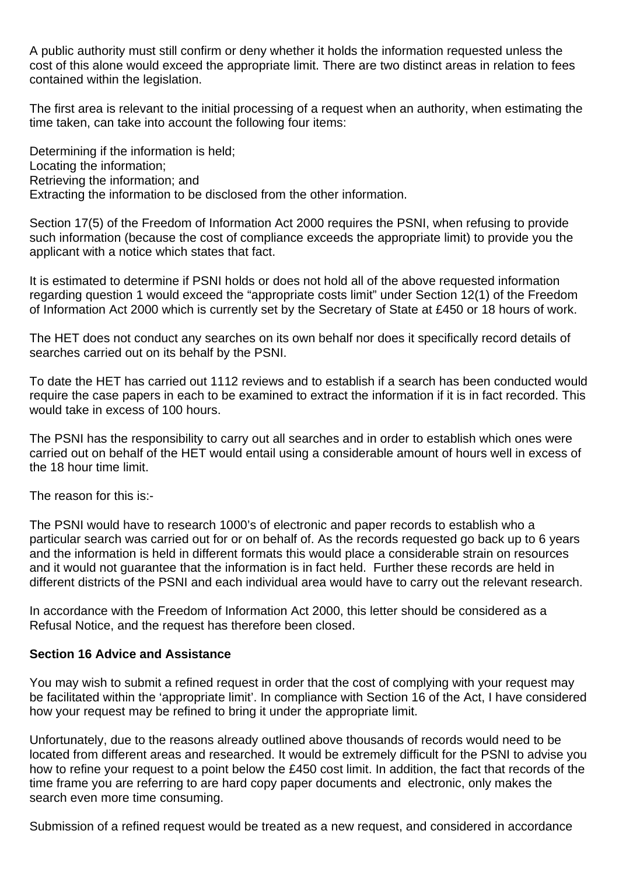A public authority must still confirm or deny whether it holds the information requested unless the cost of this alone would exceed the appropriate limit. There are two distinct areas in relation to fees contained within the legislation.

The first area is relevant to the initial processing of a request when an authority, when estimating the time taken, can take into account the following four items:

Determining if the information is held; Locating the information; Retrieving the information; and Extracting the information to be disclosed from the other information.

Section 17(5) of the Freedom of Information Act 2000 requires the PSNI, when refusing to provide such information (because the cost of compliance exceeds the appropriate limit) to provide you the applicant with a notice which states that fact.

It is estimated to determine if PSNI holds or does not hold all of the above requested information regarding question 1 would exceed the "appropriate costs limit" under Section 12(1) of the Freedom of Information Act 2000 which is currently set by the Secretary of State at £450 or 18 hours of work.

The HET does not conduct any searches on its own behalf nor does it specifically record details of searches carried out on its behalf by the PSNI.

To date the HET has carried out 1112 reviews and to establish if a search has been conducted would require the case papers in each to be examined to extract the information if it is in fact recorded. This would take in excess of 100 hours.

The PSNI has the responsibility to carry out all searches and in order to establish which ones were carried out on behalf of the HET would entail using a considerable amount of hours well in excess of the 18 hour time limit.

The reason for this is:-

The PSNI would have to research 1000's of electronic and paper records to establish who a particular search was carried out for or on behalf of. As the records requested go back up to 6 years and the information is held in different formats this would place a considerable strain on resources and it would not guarantee that the information is in fact held. Further these records are held in different districts of the PSNI and each individual area would have to carry out the relevant research.

In accordance with the Freedom of Information Act 2000, this letter should be considered as a Refusal Notice, and the request has therefore been closed.

## **Section 16 Advice and Assistance**

You may wish to submit a refined request in order that the cost of complying with your request may be facilitated within the 'appropriate limit'. In compliance with Section 16 of the Act, I have considered how your request may be refined to bring it under the appropriate limit.

Unfortunately, due to the reasons already outlined above thousands of records would need to be located from different areas and researched. It would be extremely difficult for the PSNI to advise you how to refine your request to a point below the £450 cost limit. In addition, the fact that records of the time frame you are referring to are hard copy paper documents and electronic, only makes the search even more time consuming.

Submission of a refined request would be treated as a new request, and considered in accordance